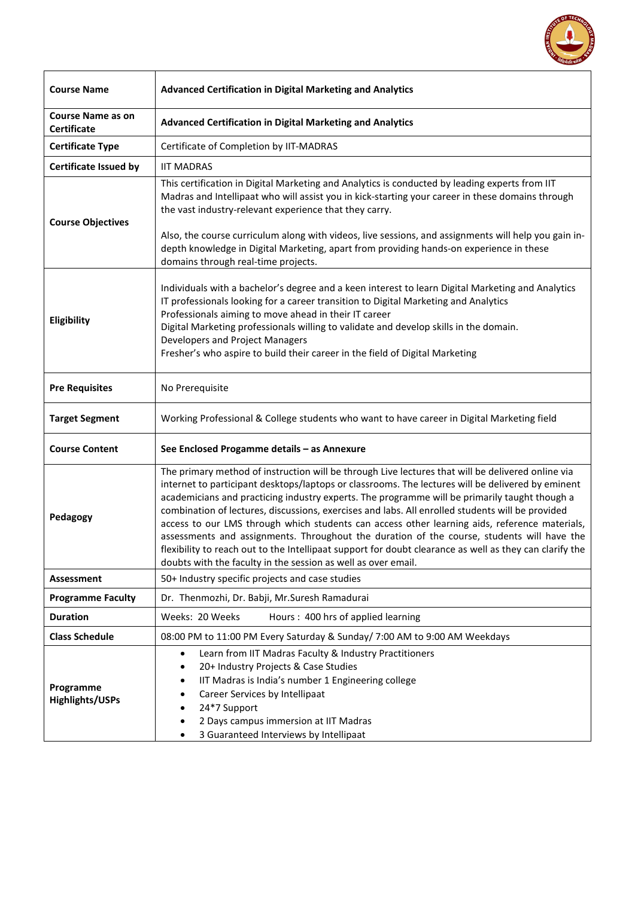

| <b>Course Name</b>                             | <b>Advanced Certification in Digital Marketing and Analytics</b>                                                                                                                                                                                                                                                                                                                                                                                                                                                                                                                                                                                                                                                                                                                       |
|------------------------------------------------|----------------------------------------------------------------------------------------------------------------------------------------------------------------------------------------------------------------------------------------------------------------------------------------------------------------------------------------------------------------------------------------------------------------------------------------------------------------------------------------------------------------------------------------------------------------------------------------------------------------------------------------------------------------------------------------------------------------------------------------------------------------------------------------|
| <b>Course Name as on</b><br><b>Certificate</b> | <b>Advanced Certification in Digital Marketing and Analytics</b>                                                                                                                                                                                                                                                                                                                                                                                                                                                                                                                                                                                                                                                                                                                       |
| <b>Certificate Type</b>                        | Certificate of Completion by IIT-MADRAS                                                                                                                                                                                                                                                                                                                                                                                                                                                                                                                                                                                                                                                                                                                                                |
| <b>Certificate Issued by</b>                   | <b>IIT MADRAS</b>                                                                                                                                                                                                                                                                                                                                                                                                                                                                                                                                                                                                                                                                                                                                                                      |
| <b>Course Objectives</b>                       | This certification in Digital Marketing and Analytics is conducted by leading experts from IIT<br>Madras and Intellipaat who will assist you in kick-starting your career in these domains through<br>the vast industry-relevant experience that they carry.<br>Also, the course curriculum along with videos, live sessions, and assignments will help you gain in-<br>depth knowledge in Digital Marketing, apart from providing hands-on experience in these<br>domains through real-time projects.                                                                                                                                                                                                                                                                                 |
| Eligibility                                    | Individuals with a bachelor's degree and a keen interest to learn Digital Marketing and Analytics<br>IT professionals looking for a career transition to Digital Marketing and Analytics<br>Professionals aiming to move ahead in their IT career<br>Digital Marketing professionals willing to validate and develop skills in the domain.<br>Developers and Project Managers<br>Fresher's who aspire to build their career in the field of Digital Marketing                                                                                                                                                                                                                                                                                                                          |
| <b>Pre Requisites</b>                          | No Prerequisite                                                                                                                                                                                                                                                                                                                                                                                                                                                                                                                                                                                                                                                                                                                                                                        |
| <b>Target Segment</b>                          | Working Professional & College students who want to have career in Digital Marketing field                                                                                                                                                                                                                                                                                                                                                                                                                                                                                                                                                                                                                                                                                             |
| <b>Course Content</b>                          | See Enclosed Progamme details - as Annexure                                                                                                                                                                                                                                                                                                                                                                                                                                                                                                                                                                                                                                                                                                                                            |
| Pedagogy                                       | The primary method of instruction will be through Live lectures that will be delivered online via<br>internet to participant desktops/laptops or classrooms. The lectures will be delivered by eminent<br>academicians and practicing industry experts. The programme will be primarily taught though a<br>combination of lectures, discussions, exercises and labs. All enrolled students will be provided<br>access to our LMS through which students can access other learning aids, reference materials,<br>assessments and assignments. Throughout the duration of the course, students will have the<br>flexibility to reach out to the Intellipaat support for doubt clearance as well as they can clarify the<br>doubts with the faculty in the session as well as over email. |
| Assessment                                     | 50+ Industry specific projects and case studies                                                                                                                                                                                                                                                                                                                                                                                                                                                                                                                                                                                                                                                                                                                                        |
| <b>Programme Faculty</b>                       | Dr. Thenmozhi, Dr. Babji, Mr.Suresh Ramadurai                                                                                                                                                                                                                                                                                                                                                                                                                                                                                                                                                                                                                                                                                                                                          |
| <b>Duration</b>                                | Weeks: 20 Weeks<br>Hours: 400 hrs of applied learning                                                                                                                                                                                                                                                                                                                                                                                                                                                                                                                                                                                                                                                                                                                                  |
| <b>Class Schedule</b>                          | 08:00 PM to 11:00 PM Every Saturday & Sunday/ 7:00 AM to 9:00 AM Weekdays                                                                                                                                                                                                                                                                                                                                                                                                                                                                                                                                                                                                                                                                                                              |
| Programme<br><b>Highlights/USPs</b>            | Learn from IIT Madras Faculty & Industry Practitioners<br>٠<br>20+ Industry Projects & Case Studies<br>٠<br>IIT Madras is India's number 1 Engineering college<br>Career Services by Intellipaat<br>24*7 Support<br>2 Days campus immersion at IIT Madras<br>3 Guaranteed Interviews by Intellipaat                                                                                                                                                                                                                                                                                                                                                                                                                                                                                    |